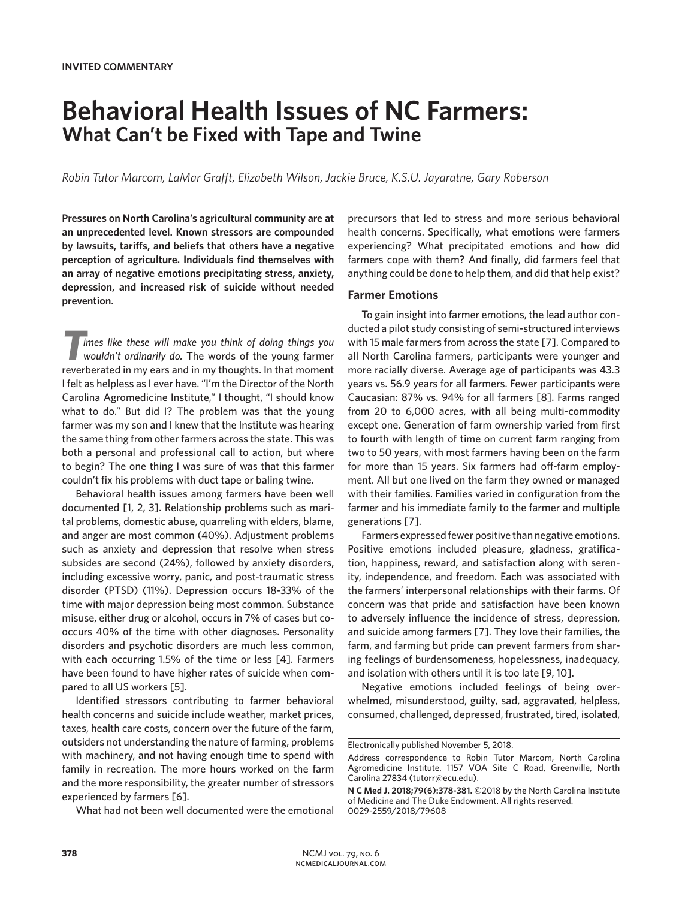# **Behavioral Health Issues of NC Farmers: What Can't be Fixed with Tape and Twine**

*Robin Tutor Marcom, LaMar Grafft, Elizabeth Wilson, Jackie Bruce, K.S.U. Jayaratne, Gary Roberson*

**Pressures on North Carolina's agricultural community are at an unprecedented level. Known stressors are compounded by lawsuits, tariffs, and beliefs that others have a negative perception of agriculture. Individuals find themselves with an array of negative emotions precipitating stress, anxiety, depression, and increased risk of suicide without needed prevention.**

*Times like these will make you think of doing things you wouldn't ordinarily do.* The words of the young farmer reverberated in my ears and in my thoughts. In that moment I felt as helpless as I ever have. "I'm the Director of the North Carolina Agromedicine Institute," I thought, "I should know what to do." But did I? The problem was that the young farmer was my son and I knew that the Institute was hearing the same thing from other farmers across the state. This was both a personal and professional call to action, but where to begin? The one thing I was sure of was that this farmer couldn't fix his problems with duct tape or baling twine.

Behavioral health issues among farmers have been well documented [1, 2, 3]. Relationship problems such as marital problems, domestic abuse, quarreling with elders, blame, and anger are most common (40%). Adjustment problems such as anxiety and depression that resolve when stress subsides are second (24%), followed by anxiety disorders, including excessive worry, panic, and post-traumatic stress disorder (PTSD) (11%). Depression occurs 18-33% of the time with major depression being most common. Substance misuse, either drug or alcohol, occurs in 7% of cases but cooccurs 40% of the time with other diagnoses. Personality disorders and psychotic disorders are much less common, with each occurring 1.5% of the time or less [4]. Farmers have been found to have higher rates of suicide when compared to all US workers [5].

Identified stressors contributing to farmer behavioral health concerns and suicide include weather, market prices, taxes, health care costs, concern over the future of the farm, outsiders not understanding the nature of farming, problems with machinery, and not having enough time to spend with family in recreation. The more hours worked on the farm and the more responsibility, the greater number of stressors experienced by farmers [6].

What had not been well documented were the emotional

precursors that led to stress and more serious behavioral health concerns. Specifically, what emotions were farmers experiencing? What precipitated emotions and how did farmers cope with them? And finally, did farmers feel that anything could be done to help them, and did that help exist?

### **Farmer Emotions**

To gain insight into farmer emotions, the lead author conducted a pilot study consisting of semi-structured interviews with 15 male farmers from across the state [7]. Compared to all North Carolina farmers, participants were younger and more racially diverse. Average age of participants was 43.3 years vs. 56.9 years for all farmers. Fewer participants were Caucasian: 87% vs. 94% for all farmers [8]. Farms ranged from 20 to 6,000 acres, with all being multi-commodity except one. Generation of farm ownership varied from first to fourth with length of time on current farm ranging from two to 50 years, with most farmers having been on the farm for more than 15 years. Six farmers had off-farm employment. All but one lived on the farm they owned or managed with their families. Families varied in configuration from the farmer and his immediate family to the farmer and multiple generations [7].

Farmers expressed fewer positive than negative emotions. Positive emotions included pleasure, gladness, gratification, happiness, reward, and satisfaction along with serenity, independence, and freedom. Each was associated with the farmers' interpersonal relationships with their farms. Of concern was that pride and satisfaction have been known to adversely influence the incidence of stress, depression, and suicide among farmers [7]. They love their families, the farm, and farming but pride can prevent farmers from sharing feelings of burdensomeness, hopelessness, inadequacy, and isolation with others until it is too late [9, 10].

Negative emotions included feelings of being overwhelmed, misunderstood, guilty, sad, aggravated, helpless, consumed, challenged, depressed, frustrated, tired, isolated,

Electronically published November 5, 2018.

Address correspondence to Robin Tutor Marcom, North Carolina Agromedicine Institute, 1157 VOA Site C Road, Greenville, North Carolina 27834 (tutorr@ecu.edu).

**N C Med J. 2018;79(6):378-381.** ©2018 by the North Carolina Institute of Medicine and The Duke Endowment. All rights reserved. 0029-2559/2018/79608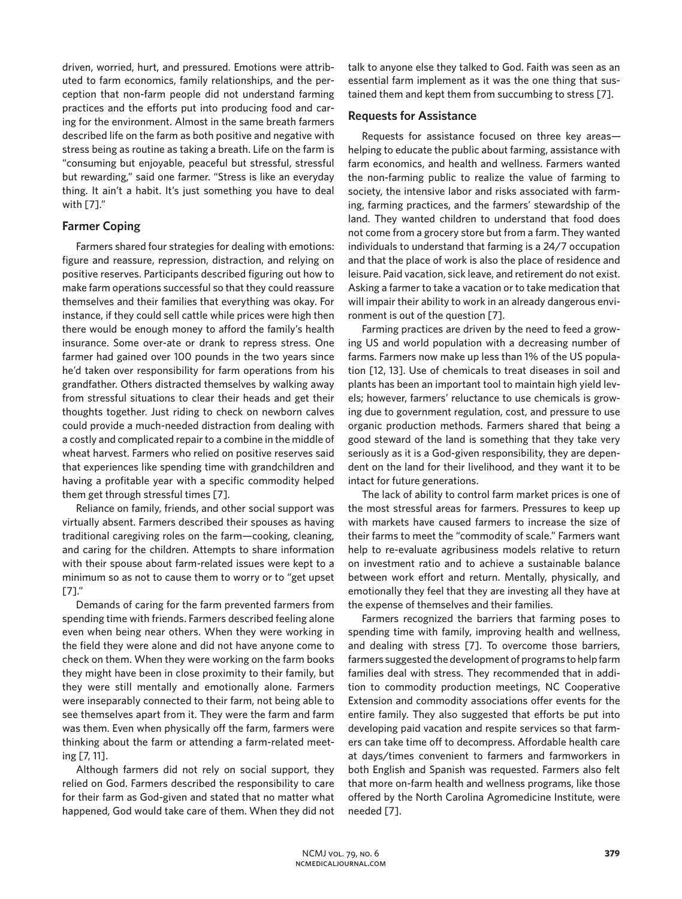driven, worried, hurt, and pressured. Emotions were attributed to farm economics, family relationships, and the perception that non-farm people did not understand farming practices and the efforts put into producing food and caring for the environment. Almost in the same breath farmers described life on the farm as both positive and negative with stress being as routine as taking a breath. Life on the farm is "consuming but enjoyable, peaceful but stressful, stressful but rewarding," said one farmer. "Stress is like an everyday thing. It ain't a habit. It's just something you have to deal with [7]."

# **Farmer Coping**

Farmers shared four strategies for dealing with emotions: figure and reassure, repression, distraction, and relying on positive reserves. Participants described figuring out how to make farm operations successful so that they could reassure themselves and their families that everything was okay. For instance, if they could sell cattle while prices were high then there would be enough money to afford the family's health insurance. Some over-ate or drank to repress stress. One farmer had gained over 100 pounds in the two years since he'd taken over responsibility for farm operations from his grandfather. Others distracted themselves by walking away from stressful situations to clear their heads and get their thoughts together. Just riding to check on newborn calves could provide a much-needed distraction from dealing with a costly and complicated repair to a combine in the middle of wheat harvest. Farmers who relied on positive reserves said that experiences like spending time with grandchildren and having a profitable year with a specific commodity helped them get through stressful times [7].

Reliance on family, friends, and other social support was virtually absent. Farmers described their spouses as having traditional caregiving roles on the farm—cooking, cleaning, and caring for the children. Attempts to share information with their spouse about farm-related issues were kept to a minimum so as not to cause them to worry or to "get upset [7]."

Demands of caring for the farm prevented farmers from spending time with friends. Farmers described feeling alone even when being near others. When they were working in the field they were alone and did not have anyone come to check on them. When they were working on the farm books they might have been in close proximity to their family, but they were still mentally and emotionally alone. Farmers were inseparably connected to their farm, not being able to see themselves apart from it. They were the farm and farm was them. Even when physically off the farm, farmers were thinking about the farm or attending a farm-related meeting [7, 11].

Although farmers did not rely on social support, they relied on God. Farmers described the responsibility to care for their farm as God-given and stated that no matter what happened, God would take care of them. When they did not talk to anyone else they talked to God. Faith was seen as an essential farm implement as it was the one thing that sustained them and kept them from succumbing to stress [7].

## **Requests for Assistance**

Requests for assistance focused on three key areas helping to educate the public about farming, assistance with farm economics, and health and wellness. Farmers wanted the non-farming public to realize the value of farming to society, the intensive labor and risks associated with farming, farming practices, and the farmers' stewardship of the land. They wanted children to understand that food does not come from a grocery store but from a farm. They wanted individuals to understand that farming is a 24/7 occupation and that the place of work is also the place of residence and leisure. Paid vacation, sick leave, and retirement do not exist. Asking a farmer to take a vacation or to take medication that will impair their ability to work in an already dangerous environment is out of the question [7].

Farming practices are driven by the need to feed a growing US and world population with a decreasing number of farms. Farmers now make up less than 1% of the US population [12, 13]. Use of chemicals to treat diseases in soil and plants has been an important tool to maintain high yield levels; however, farmers' reluctance to use chemicals is growing due to government regulation, cost, and pressure to use organic production methods. Farmers shared that being a good steward of the land is something that they take very seriously as it is a God-given responsibility, they are dependent on the land for their livelihood, and they want it to be intact for future generations.

The lack of ability to control farm market prices is one of the most stressful areas for farmers. Pressures to keep up with markets have caused farmers to increase the size of their farms to meet the "commodity of scale." Farmers want help to re-evaluate agribusiness models relative to return on investment ratio and to achieve a sustainable balance between work effort and return. Mentally, physically, and emotionally they feel that they are investing all they have at the expense of themselves and their families.

Farmers recognized the barriers that farming poses to spending time with family, improving health and wellness, and dealing with stress [7]. To overcome those barriers, farmers suggested the development of programs to help farm families deal with stress. They recommended that in addition to commodity production meetings, NC Cooperative Extension and commodity associations offer events for the entire family. They also suggested that efforts be put into developing paid vacation and respite services so that farmers can take time off to decompress. Affordable health care at days/times convenient to farmers and farmworkers in both English and Spanish was requested. Farmers also felt that more on-farm health and wellness programs, like those offered by the North Carolina Agromedicine Institute, were needed [7].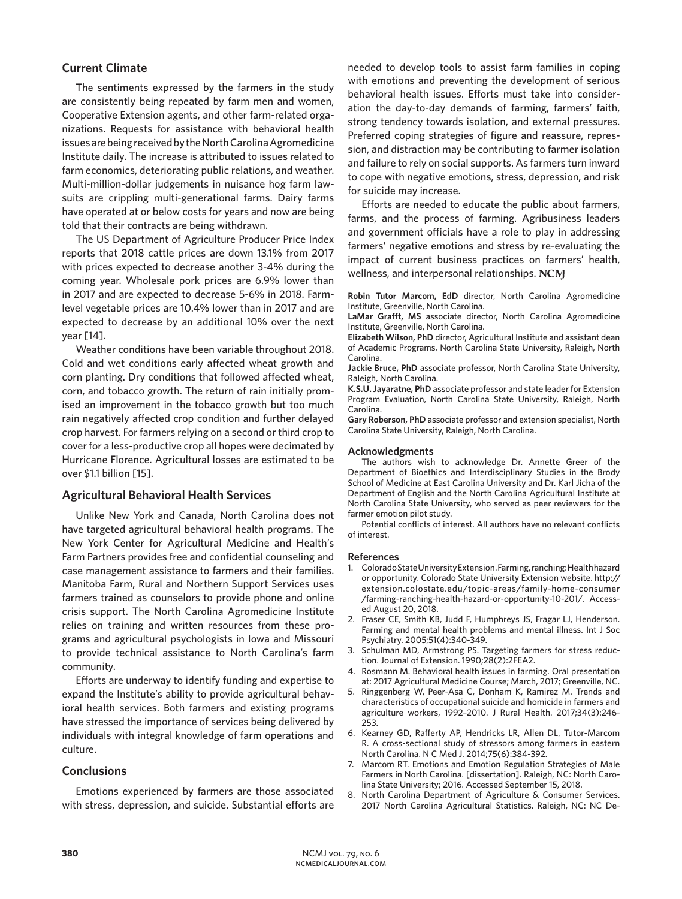# **Current Climate**

The sentiments expressed by the farmers in the study are consistently being repeated by farm men and women, Cooperative Extension agents, and other farm-related organizations. Requests for assistance with behavioral health issues are being received by the North Carolina Agromedicine Institute daily. The increase is attributed to issues related to farm economics, deteriorating public relations, and weather. Multi-million-dollar judgements in nuisance hog farm lawsuits are crippling multi-generational farms. Dairy farms have operated at or below costs for years and now are being told that their contracts are being withdrawn.

The US Department of Agriculture Producer Price Index reports that 2018 cattle prices are down 13.1% from 2017 with prices expected to decrease another 3-4% during the coming year. Wholesale pork prices are 6.9% lower than in 2017 and are expected to decrease 5-6% in 2018. Farmlevel vegetable prices are 10.4% lower than in 2017 and are expected to decrease by an additional 10% over the next year [14].

Weather conditions have been variable throughout 2018. Cold and wet conditions early affected wheat growth and corn planting. Dry conditions that followed affected wheat, corn, and tobacco growth. The return of rain initially promised an improvement in the tobacco growth but too much rain negatively affected crop condition and further delayed crop harvest. For farmers relying on a second or third crop to cover for a less-productive crop all hopes were decimated by Hurricane Florence. Agricultural losses are estimated to be over \$1.1 billion [15].

## **Agricultural Behavioral Health Services**

Unlike New York and Canada, North Carolina does not have targeted agricultural behavioral health programs. The New York Center for Agricultural Medicine and Health's Farm Partners provides free and confidential counseling and case management assistance to farmers and their families. Manitoba Farm, Rural and Northern Support Services uses farmers trained as counselors to provide phone and online crisis support. The North Carolina Agromedicine Institute relies on training and written resources from these programs and agricultural psychologists in Iowa and Missouri to provide technical assistance to North Carolina's farm community.

Efforts are underway to identify funding and expertise to expand the Institute's ability to provide agricultural behavioral health services. Both farmers and existing programs have stressed the importance of services being delivered by individuals with integral knowledge of farm operations and culture.

### **Conclusions**

Emotions experienced by farmers are those associated with stress, depression, and suicide. Substantial efforts are needed to develop tools to assist farm families in coping with emotions and preventing the development of serious behavioral health issues. Efforts must take into consideration the day-to-day demands of farming, farmers' faith, strong tendency towards isolation, and external pressures. Preferred coping strategies of figure and reassure, repression, and distraction may be contributing to farmer isolation and failure to rely on social supports. As farmers turn inward to cope with negative emotions, stress, depression, and risk for suicide may increase.

Efforts are needed to educate the public about farmers, farms, and the process of farming. Agribusiness leaders and government officials have a role to play in addressing farmers' negative emotions and stress by re-evaluating the impact of current business practices on farmers' health, wellness, and interpersonal relationships. NCM

**Robin Tutor Marcom, EdD** director, North Carolina Agromedicine Institute, Greenville, North Carolina.

**LaMar Grafft, MS** associate director, North Carolina Agromedicine Institute, Greenville, North Carolina.

**Elizabeth Wilson, PhD** director, Agricultural Institute and assistant dean of Academic Programs, North Carolina State University, Raleigh, North Carolina.

**Jackie Bruce, PhD** associate professor, North Carolina State University, Raleigh, North Carolina.

**K.S.U. Jayaratne, PhD** associate professor and state leader for Extension Program Evaluation, North Carolina State University, Raleigh, North Carolina.

**Gary Roberson, PhD** associate professor and extension specialist, North Carolina State University, Raleigh, North Carolina.

#### **Acknowledgments**

The authors wish to acknowledge Dr. Annette Greer of the Department of Bioethics and Interdisciplinary Studies in the Brody School of Medicine at East Carolina University and Dr. Karl Jicha of the Department of English and the North Carolina Agricultural Institute at North Carolina State University, who served as peer reviewers for the farmer emotion pilot study.

Potential conflicts of interest. All authors have no relevant conflicts of interest.

#### **References**

- 1. Colorado State University Extension. Farming, ranching: Health hazard or opportunity. Colorado State University Extension website. http:// extension.colostate.edu/topic-areas/family-home-consumer /farming-ranching-health-hazard-or-opportunity-10-201/. Accessed August 20, 2018.
- 2. Fraser CE, Smith KB, Judd F, Humphreys JS, Fragar LJ, Henderson. Farming and mental health problems and mental illness. Int J Soc Psychiatry. 2005;51(4):340-349.
- 3. Schulman MD, Armstrong PS. Targeting farmers for stress reduction. Journal of Extension. 1990;28(2):2FEA2.
- 4. Rosmann M. Behavioral health issues in farming. Oral presentation at: 2017 Agricultural Medicine Course; March, 2017; Greenville, NC.
- 5. Ringgenberg W, Peer-Asa C, Donham K, Ramirez M. Trends and characteristics of occupational suicide and homicide in farmers and agriculture workers, 1992–2010. J Rural Health. 2017;34(3):246- 253.
- 6. Kearney GD, Rafferty AP, Hendricks LR, Allen DL, Tutor-Marcom R. A cross-sectional study of stressors among farmers in eastern North Carolina. N C Med J. 2014;75(6):384-392.
- 7. Marcom RT. Emotions and Emotion Regulation Strategies of Male Farmers in North Carolina. [dissertation]. Raleigh, NC: North Carolina State University; 2016. Accessed September 15, 2018.
- 8. North Carolina Department of Agriculture & Consumer Services. 2017 North Carolina Agricultural Statistics. Raleigh, NC: NC De-